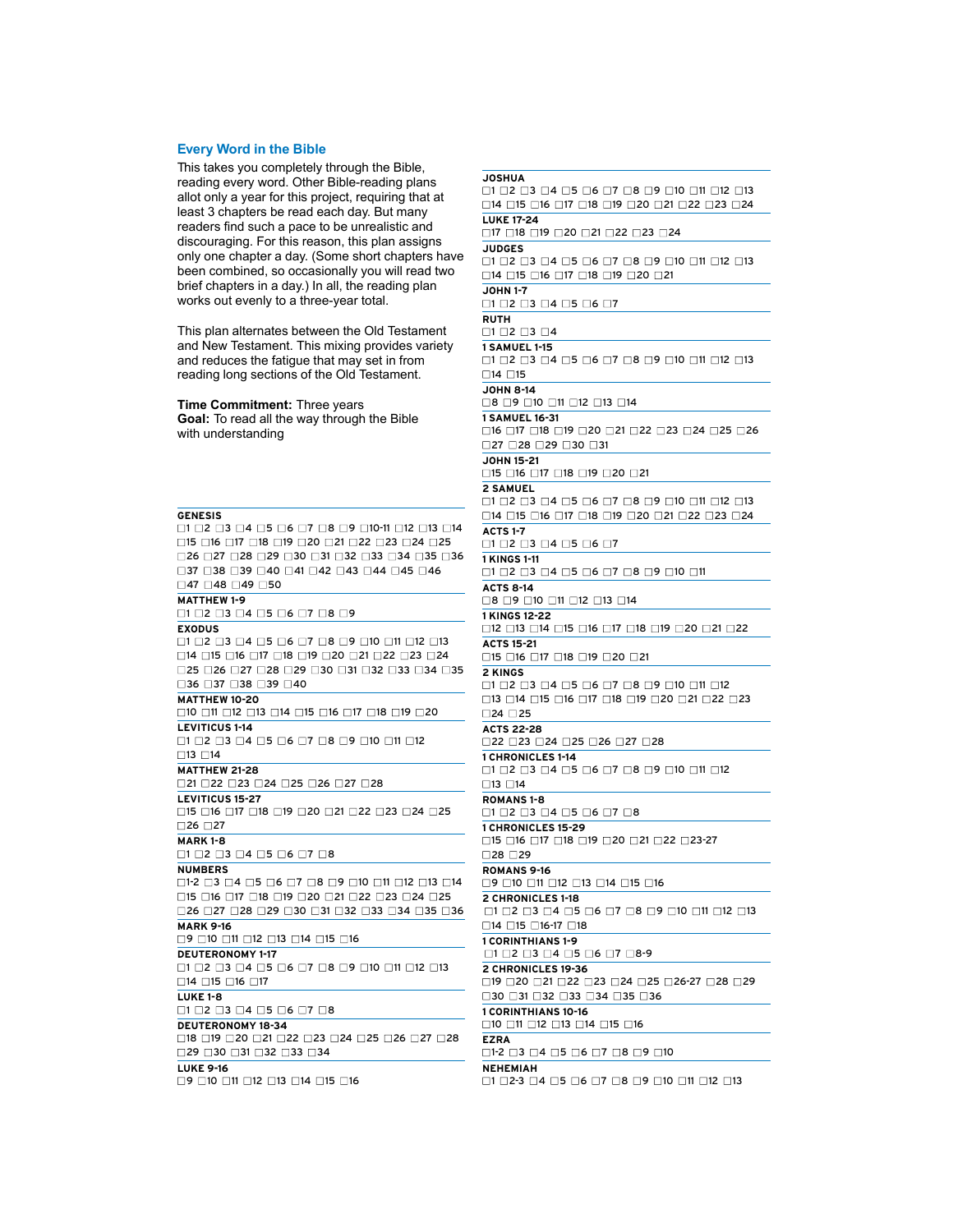## **Every Word in the Bible**

This takes you completely through the Bible, reading every word. Other Bible-reading plans allot only a year for this project, requiring that at least 3 chapters be read each day. But many readers find such a pace to be unrealistic and discouraging. For this reason, this plan assigns only one chapter a day. (Some short chapters have been combined, so occasionally you will read two brief chapters in a day.) In all, the reading plan works out evenly to a three-year total.

This plan alternates between the Old Testament and New Testament. This mixing provides variety and reduces the fatigue that may set in from reading long sections of the Old Testament.

**Time Commitment:** Three years **Goal:** To read all the way through the Bible with understanding

**GENESIS** ■1 ■2 ■3 ■4 ■5 ■6 ■7 ■8 ■9 ■10-11 ■12 ■13 ■14 ■15 ■16 ■17 ■18 ■19 ■20 ■21 ■22 ■23 ■24 ■25 ■26 ■27 ■28 ■29 ■30 ■31 ■32 ■33 ■34 ■35 ■36 ■37 ■38 ■39 ■40 ■41 ■42 ■43 ■44 ■45 ■46 □47 □48 □49 □50 **MATTHEW 1-9**  ■1 ■2 ■3 ■4 ■5 ■6 ■7 ■8 ■9 **EXODUS** ■1 ■2 ■3 ■4 ■5 ■6 ■7 ■8 ■9 ■10 ■11 ■12 ■13 ■14 ■15 ■16 ■17 ■18 ■19 ■20 ■21 ■22 ■23 ■24 ■25 ■26 ■27 ■28 ■29 ■30 ■31 ■32 ■33 ■34 ■35 ■36 ■37 ■38 ■39 ■40 **MATTHEW 10-20** ■10 ■11 ■12 ■13 ■14 ■15 ■16 ■17 ■18 ■19 ■20 **LEVITICUS 1-14** ■1 ■2 ■3 ■4 ■5 ■6 ■7 ■8 ■9 ■10 ■11 ■12 ■13 ■14 **MATTHEW 21-28** ■21 ■22 ■23 ■24 ■25 ■26 ■27 ■28 **LEVITICUS 15-27** ■15 ■16 ■17 ■18 ■19 ■20 ■21 ■22 ■23 ■24 ■25 ■26 ■27 **MARK 1-8** ■1 ■2 ■3 ■4 ■5 ■6 ■7 ■8 **NUMBERS** ■1-2 ■3 ■4 ■5 ■6 ■7 ■8 ■9 ■10 ■11 ■12 ■13 ■14 ■15 ■16 ■17 ■18 ■19 ■20 ■21 ■22 ■23 ■24 ■25 ■26 ■27 ■28 ■29 ■30 ■31 ■32 ■33 ■34 ■35 ■36 **MARK 9-16** ■9 ■10 ■11 ■12 ■13 ■14 ■15 ■16 **DEUTERONOMY 1-17** ■1 ■2 ■3 ■4 ■5 ■6 ■7 ■8 ■9 ■10 ■11 ■12 ■13 ■14 ■15 ■16 ■17 **LUKE 1-8** ■1 ■2 ■3 ■4 ■5 ■6 ■7 ■8 **DEUTERONOMY 18-34** ■18 ■19 ■20 ■21 ■22 ■23 ■24 ■25 ■26 ■27 ■28 ■29 ■30 ■31 ■32 ■33 ■34 **LUKE 9-16** ■9 ■10 ■11 ■12 ■13 ■14 ■15 ■16

**JOSHUA**  $\Box$ 1  $\Box$ 2  $\Box$ 3  $\Box$ 4  $\Box$ 5  $\Box$ 6  $\Box$ 7  $\Box$ 8  $\Box$ 9  $\Box$ 10  $\Box$ 11  $\Box$ 12  $\Box$ 13 ■14 ■15 ■16 ■17 ■18 ■19 ■20 ■21 ■22 ■23 ■24 **LUKE 17-24** ■17 ■18 ■19 ■20 ■21 ■22 ■23 ■24 **JUDGES** ■1 ■2 ■3 ■4 ■5 ■6 ■7 ■8 ■9 ■10 ■11 ■12 ■13 ■14 ■15 ■16 ■17 ■18 ■19 ■20 ■21 **JOHN 1-7** ■1 ■2 ■3 ■4 ■5 ■6 ■7 **RUTH** ■1 ■2 ■3 ■4 **1 SAMUEL 1-15** ■1 ■2 ■3 ■4 ■5 ■6 ■7 ■8 ■9 ■10 ■11 ■12 ■13  $\square$ 14  $\square$ 15 **JOHN 8-14** ■8 ■9 ■10 ■11 ■12 ■13 ■14 **1 SAMUEL 16-31** ■16 ■17 ■18 ■19 ■20 ■21 ■22 ■23 ■24 ■25 ■26 ■27 ■28 ■29 ■30 ■31 **JOHN 15-21** ■15 ■16 ■17 ■18 ■19 ■20 ■21 **2 SAMUEL** ■1 ■2 ■3 ■4 ■5 ■6 ■7 ■8 ■9 ■10 ■11 ■12 ■13 ■14 ■15 ■16 ■17 ■18 ■19 ■20 ■21 ■22 ■23 ■24 **ACTS 1-7** ■1 ■2 ■3 ■4 ■5 ■6 ■7 **1 KINGS 1-11** ■1 ■2 ■3 ■4 ■5 ■6 ■7 ■8 ■9 ■10 ■11 **ACTS 8-14** ■8 ■9 ■10 ■11 ■12 ■13 ■14 **1 KINGS 12-22** ■12 ■13 ■14 ■15 ■16 ■17 ■18 ■19 ■20 ■21 ■22 **ACTS 15-21** ■15 ■16 ■17 ■18 ■19 ■20 ■21 **2 KINGS** ■1 ■2 ■3 ■4 ■5 ■6 ■7 ■8 ■9 ■10 ■11 ■12 ■13 ■14 ■15 ■16 ■17 ■18 ■19 ■20 ■21 ■22 ■23 ■24 ■ 25 **ACTS 22-28** ■22 ■23 ■24 ■25 ■26 ■27 ■28 **1 CHRONICLES 1-14** ■1 ■2 ■3 ■4 ■5 ■6 ■7 ■8 ■9 ■10 ■11 ■12  $\Box$ 13  $\Box$ 14 **ROMANS 1-8** ■1 ■2 ■3 ■4 ■5 ■6 ■7 ■8 **1 CHRONICLES 15-29** ■15 ■16 ■17 ■18 ■19 ■20 ■21 ■22 ■23-27 ■28 ■29 **ROMANS 9-16** ■9 ■10 ■11 ■12 ■13 ■14 ■15 ■16 **2 CHRONICLES 1-18** ■1 ■2 ■3 ■4 ■5 ■6 ■7 ■8 ■9 ■10 ■11 ■12 ■13 ■14 ■15 ■16-17 ■18 **1 CORINTHIANS 1-9** ■1 ■2 ■3 ■4 ■5 ■6 ■7 ■8-9 **2 CHRONICLES 19-36** ■19 ■20 ■21 ■22 ■23 ■24 ■25 ■26-27 ■28 ■29 ■30 ■31 ■32 ■33 ■34 ■35 ■36 **1 CORINTHIANS 10-16** ■10 ■11 ■12 ■13 ■14 ■15 ■16 **EZRA** ■1-2 ■3 ■4 ■5 ■6 ■7 ■8 ■9 ■10 **NEHEMIAH**

■1 ■2-3 ■4 ■5 ■6 ■7 ■8 ■9 ■10 ■11 ■12 ■13